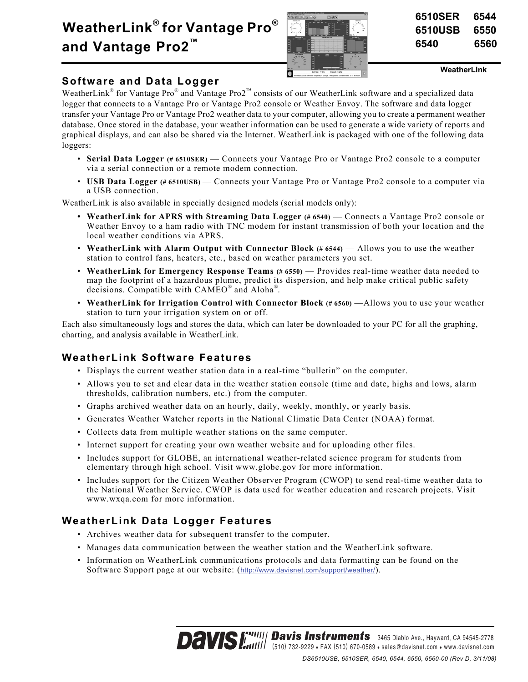# **WeatherLink® for Vantage Pro® and Vantage Pro2™**



| 6510SER | 6544 |
|---------|------|
| 6510USB | 6550 |
| 6540    | 6560 |

**WeatherLink**

### **Software and Data Logger**

WeatherLink<sup>®</sup> for Vantage Pro<sup>®</sup> and Vantage Pro2<sup>™</sup> consists of our WeatherLink software and a specialized data logger that connects to a Vantage Pro or Vantage Pro2 console or Weather Envoy. The software and data logger transfer your Vantage Pro or Vantage Pro2 weather data to your computer, allowing you to create a permanent weather database. Once stored in the database, your weather information can be used to generate a wide variety of reports and graphical displays, and can also be shared via the Internet. WeatherLink is packaged with one of the following data loggers:

- **Serial Data Logger (# 6510SER)** Connects your Vantage Pro or Vantage Pro2 console to a computer via a serial connection or a remote modem connection.
- **USB Data Logger** (# 6510USB) Connects your Vantage Pro or Vantage Pro2 console to a computer via a USB connection.

WeatherLink is also available in specially designed models (serial models only):

- WeatherLink for APRS with Streaming Data Logger (#6540) Connects a Vantage Pro2 console or Weather Envoy to a ham radio with TNC modem for instant transmission of both your location and the local weather conditions via APRS.
- **WeatherLink with Alarm Output with Connector Block (# 6544)** Allows you to use the weather station to control fans, heaters, etc., based on weather parameters you set.
- **WeatherLink for Emergency Response Teams (# 6550)** Provides real-time weather data needed to map the footprint of a hazardous plume, predict its dispersion, and help make critical public safety decisions. Compatible with CAMEO® and Aloha® .
- **WeatherLink for Irrigation Control with Connector Block (# 6560)** —Allows you to use your weather station to turn your irrigation system on or off.

Each also simultaneously logs and stores the data, which can later be downloaded to your PC for all the graphing, charting, and analysis available in WeatherLink.

# **WeatherLink Software Features**

- Displays the current weather station data in a real-time "bulletin" on the computer.
- Allows you to set and clear data in the weather station console (time and date, highs and lows, alarm thresholds, calibration numbers, etc.) from the computer.
- Graphs archived weather data on an hourly, daily, weekly, monthly, or yearly basis.
- Generates Weather Watcher reports in the National Climatic Data Center (NOAA) format.
- Collects data from multiple weather stations on the same computer.
- Internet support for creating your own weather website and for uploading other files.
- Includes support for GLOBE, an international weather-related science program for students from elementary through high school. Visit www.globe.gov for more information.
- Includes support for the Citizen Weather Observer Program (CWOP) to send real-time weather data to the National Weather Service. CWOP is data used for weather education and research projects. Visit www.wxqa.com for more information.

# **WeatherLink Data Logger Features**

- Archives weather data for subsequent transfer to the computer.
- Manages data communication between the weather station and the WeatherLink software.
- Information on WeatherLink communications protocols and data formatting can be found on the Software Support page at our website: (http://www.davisnet.com/support/weather/).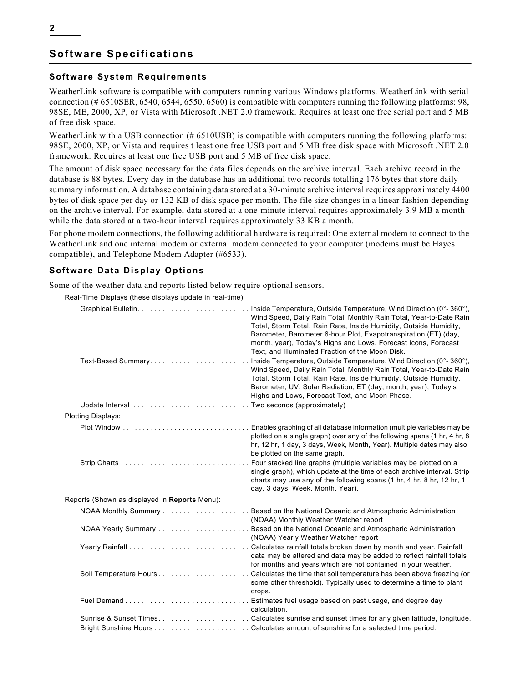## **Software Specifications**

### **Software System Requirements**

WeatherLink software is compatible with computers running various Windows platforms. WeatherLink with serial connection (# 6510SER, 6540, 6544, 6550, 6560) is compatible with computers running the following platforms: 98, 98SE, ME, 2000, XP, or Vista with Microsoft .NET 2.0 framework. Requires at least one free serial port and 5 MB of free disk space.

WeatherLink with a USB connection (#6510USB) is compatible with computers running the following platforms: 98SE, 2000, XP, or Vista and requires t least one free USB port and 5 MB free disk space with Microsoft .NET 2.0 framework. Requires at least one free USB port and 5 MB of free disk space.

The amount of disk space necessary for the data files depends on the archive interval. Each archive record in the database is 88 bytes. Every day in the database has an additional two records totalling 176 bytes that store daily summary information. A database containing data stored at a 30-minute archive interval requires approximately 4400 bytes of disk space per day or 132 KB of disk space per month. The file size changes in a linear fashion depending on the archive interval. For example, data stored at a one-minute interval requires approximately 3.9 MB a month while the data stored at a two-hour interval requires approximately 33 KB a month.

For phone modem connections, the following additional hardware is required: One external modem to connect to the WeatherLink and one internal modem or external modem connected to your computer (modems must be Hayes compatible), and Telephone Modem Adapter (#6533).

### **Software Data Display Options**

Some of the weather data and reports listed below require optional sensors.

Real-Time Displays (these displays update in real-time):

| Text-Based Summary                            | Inside Temperature, Outside Temperature, Wind Direction $(0^\circ - 360^\circ)$ ,<br>Wind Speed, Daily Rain Total, Monthly Rain Total, Year-to-Date Rain<br>Total, Storm Total, Rain Rate, Inside Humidity, Outside Humidity,<br>Barometer, Barometer 6-hour Plot, Evapotranspiration (ET) (day,<br>month, year), Today's Highs and Lows, Forecast Icons, Forecast<br>Text, and Illuminated Fraction of the Moon Disk.<br>Inside Temperature, Outside Temperature, Wind Direction (0°-360°),<br>Wind Speed, Daily Rain Total, Monthly Rain Total, Year-to-Date Rain<br>Total, Storm Total, Rain Rate, Inside Humidity, Outside Humidity,<br>Barometer, UV, Solar Radiation, ET (day, month, year), Today's |
|-----------------------------------------------|------------------------------------------------------------------------------------------------------------------------------------------------------------------------------------------------------------------------------------------------------------------------------------------------------------------------------------------------------------------------------------------------------------------------------------------------------------------------------------------------------------------------------------------------------------------------------------------------------------------------------------------------------------------------------------------------------------|
|                                               | Highs and Lows, Forecast Text, and Moon Phase.                                                                                                                                                                                                                                                                                                                                                                                                                                                                                                                                                                                                                                                             |
| <b>Plotting Displays:</b>                     |                                                                                                                                                                                                                                                                                                                                                                                                                                                                                                                                                                                                                                                                                                            |
|                                               | plotted on a single graph) over any of the following spans (1 hr, 4 hr, 8<br>hr, 12 hr, 1 day, 3 days, Week, Month, Year). Multiple dates may also<br>be plotted on the same graph.                                                                                                                                                                                                                                                                                                                                                                                                                                                                                                                        |
|                                               | . Four stacked line graphs (multiple variables may be plotted on a<br>single graph), which update at the time of each archive interval. Strip<br>charts may use any of the following spans (1 hr, 4 hr, 8 hr, 12 hr, 1<br>day, 3 days, Week, Month, Year).                                                                                                                                                                                                                                                                                                                                                                                                                                                 |
| Reports (Shown as displayed in Reports Menu): |                                                                                                                                                                                                                                                                                                                                                                                                                                                                                                                                                                                                                                                                                                            |
|                                               | (NOAA) Monthly Weather Watcher report                                                                                                                                                                                                                                                                                                                                                                                                                                                                                                                                                                                                                                                                      |
|                                               | (NOAA) Yearly Weather Watcher report                                                                                                                                                                                                                                                                                                                                                                                                                                                                                                                                                                                                                                                                       |
|                                               | data may be altered and data may be added to reflect rainfall totals<br>for months and years which are not contained in your weather.                                                                                                                                                                                                                                                                                                                                                                                                                                                                                                                                                                      |
|                                               | some other threshold). Typically used to determine a time to plant<br>crops.                                                                                                                                                                                                                                                                                                                                                                                                                                                                                                                                                                                                                               |
|                                               | calculation.                                                                                                                                                                                                                                                                                                                                                                                                                                                                                                                                                                                                                                                                                               |
|                                               | Sunrise & Sunset TimesCalculates sunrise and sunset times for any given latitude, longitude.                                                                                                                                                                                                                                                                                                                                                                                                                                                                                                                                                                                                               |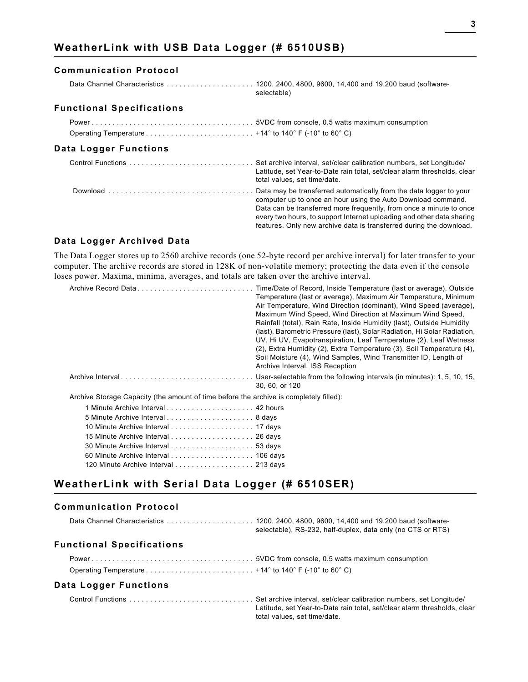# **WeatherLink with USB Data Logger (# 6510USB)**

#### **Communication Protocol**

| selectable) |  |  |  |
|-------------|--|--|--|

#### **Functional Specifications**

### **Data Logger Functions**

| Latitude, set Year-to-Date rain total, set/clear alarm thresholds, clear<br>total values, set time/date.                                                                                                                                                                            |
|-------------------------------------------------------------------------------------------------------------------------------------------------------------------------------------------------------------------------------------------------------------------------------------|
| computer up to once an hour using the Auto Download command.<br>Data can be transferred more frequently, from once a minute to once<br>every two hours, to support Internet uploading and other data sharing<br>features. Only new archive data is transferred during the download. |

#### **Data Logger Archived Data**

The Data Logger stores up to 2560 archive records (one 52-byte record per archive interval) for later transfer to your computer. The archive records are stored in 128K of non-volatile memory; protecting the data even if the console loses power. Maxima, minima, averages, and totals are taken over the archive interval.

|                                                                                        | Time/Date of Record, Inside Temperature (last or average), Outside<br>Temperature (last or average), Maximum Air Temperature, Minimum<br>Air Temperature, Wind Direction (dominant), Wind Speed (average),<br>Maximum Wind Speed, Wind Direction at Maximum Wind Speed,<br>Rainfall (total), Rain Rate, Inside Humidity (last), Outside Humidity<br>(last), Barometric Pressure (last), Solar Radiation, Hi Solar Radiation,<br>UV, Hi UV, Evapotranspiration, Leaf Temperature (2), Leaf Wetness<br>$(2)$ , Extra Humidity $(2)$ , Extra Temperature $(3)$ , Soil Temperature $(4)$ ,<br>Soil Moisture (4), Wind Samples, Wind Transmitter ID, Length of<br>Archive Interval, ISS Reception |
|----------------------------------------------------------------------------------------|----------------------------------------------------------------------------------------------------------------------------------------------------------------------------------------------------------------------------------------------------------------------------------------------------------------------------------------------------------------------------------------------------------------------------------------------------------------------------------------------------------------------------------------------------------------------------------------------------------------------------------------------------------------------------------------------|
|                                                                                        | 30, 60, or 120                                                                                                                                                                                                                                                                                                                                                                                                                                                                                                                                                                                                                                                                               |
| Archive Storage Capacity (the amount of time before the archive is completely filled): |                                                                                                                                                                                                                                                                                                                                                                                                                                                                                                                                                                                                                                                                                              |
|                                                                                        |                                                                                                                                                                                                                                                                                                                                                                                                                                                                                                                                                                                                                                                                                              |
|                                                                                        |                                                                                                                                                                                                                                                                                                                                                                                                                                                                                                                                                                                                                                                                                              |
|                                                                                        |                                                                                                                                                                                                                                                                                                                                                                                                                                                                                                                                                                                                                                                                                              |
|                                                                                        |                                                                                                                                                                                                                                                                                                                                                                                                                                                                                                                                                                                                                                                                                              |
|                                                                                        |                                                                                                                                                                                                                                                                                                                                                                                                                                                                                                                                                                                                                                                                                              |
|                                                                                        |                                                                                                                                                                                                                                                                                                                                                                                                                                                                                                                                                                                                                                                                                              |
| 120 Minute Archive Interval  213 days                                                  |                                                                                                                                                                                                                                                                                                                                                                                                                                                                                                                                                                                                                                                                                              |

# **WeatherLink with Serial Data Logger (# 6510SER)**

### **Communication Protocol**

|                                  | selectable), RS-232, half-duplex, data only (no CTS or RTS)                                            |
|----------------------------------|--------------------------------------------------------------------------------------------------------|
| <b>Functional Specifications</b> |                                                                                                        |
|                                  |                                                                                                        |
|                                  |                                                                                                        |
| Data Logger Functions            |                                                                                                        |
|                                  | Latitude, set Year-to-Date rain total, set/clear alarm thresholds, clear<br>total values set time/date |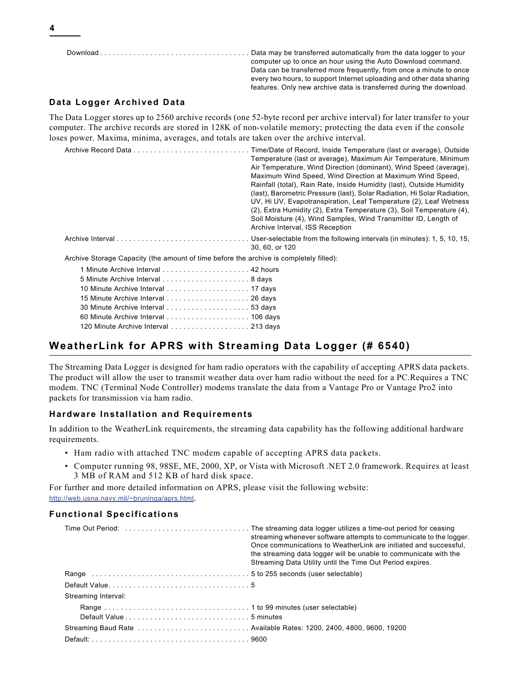Download . . . . . . . . . . . . . . . . . . . . . . . . . . . . . . . . . . . . Data may be transferred automatically from the data logger to your computer up to once an hour using the Auto Download command. Data can be transferred more frequently, from once a minute to once every two hours, to support Internet uploading and other data sharing features. Only new archive data is transferred during the download.

### **Data Logger Archived Data**

The Data Logger stores up to 2560 archive records (one 52-byte record per archive interval) for later transfer to your computer. The archive records are stored in 128K of non-volatile memory; protecting the data even if the console loses power. Maxima, minima, averages, and totals are taken over the archive interval.

|                                                                                        | Time/Date of Record, Inside Temperature (last or average), Outside<br>Temperature (last or average), Maximum Air Temperature, Minimum<br>Air Temperature, Wind Direction (dominant), Wind Speed (average),<br>Maximum Wind Speed, Wind Direction at Maximum Wind Speed,<br>Rainfall (total), Rain Rate, Inside Humidity (last), Outside Humidity<br>(last), Barometric Pressure (last), Solar Radiation, Hi Solar Radiation,<br>UV, Hi UV, Evapotranspiration, Leaf Temperature (2), Leaf Wetness<br>(2), Extra Humidity (2), Extra Temperature (3), Soil Temperature (4),<br>Soil Moisture (4), Wind Samples, Wind Transmitter ID, Length of<br>Archive Interval, ISS Reception |
|----------------------------------------------------------------------------------------|----------------------------------------------------------------------------------------------------------------------------------------------------------------------------------------------------------------------------------------------------------------------------------------------------------------------------------------------------------------------------------------------------------------------------------------------------------------------------------------------------------------------------------------------------------------------------------------------------------------------------------------------------------------------------------|
|                                                                                        | 30, 60, or 120                                                                                                                                                                                                                                                                                                                                                                                                                                                                                                                                                                                                                                                                   |
| Archive Storage Capacity (the amount of time before the archive is completely filled): |                                                                                                                                                                                                                                                                                                                                                                                                                                                                                                                                                                                                                                                                                  |
|                                                                                        |                                                                                                                                                                                                                                                                                                                                                                                                                                                                                                                                                                                                                                                                                  |
|                                                                                        |                                                                                                                                                                                                                                                                                                                                                                                                                                                                                                                                                                                                                                                                                  |
|                                                                                        |                                                                                                                                                                                                                                                                                                                                                                                                                                                                                                                                                                                                                                                                                  |
|                                                                                        |                                                                                                                                                                                                                                                                                                                                                                                                                                                                                                                                                                                                                                                                                  |
|                                                                                        |                                                                                                                                                                                                                                                                                                                                                                                                                                                                                                                                                                                                                                                                                  |

### **WeatherLink for APRS with Streaming Data Logger (# 6540)**

The Streaming Data Logger is designed for ham radio operators with the capability of accepting APRS data packets. The product will allow the user to transmit weather data over ham radio without the need for a PC.Requires a TNC modem. TNC (Terminal Node Controller) modems translate the data from a Vantage Pro or Vantage Pro2 into packets for transmission via ham radio.

#### **Hardware Installation and Requirements**

60 Minute Archive Interval . . . . . . . . . . . . . . . . . . . . 106 days 120 Minute Archive Interval . . . . . . . . . . . . . . . . . . 213 days

In addition to the WeatherLink requirements, the streaming data capability has the following additional hardware requirements.

- Ham radio with attached TNC modem capable of accepting APRS data packets.
- Computer running 98, 98SE, ME, 2000, XP, or Vista with Microsoft .NET 2.0 framework. Requires at least 3 MB of RAM and 512 KB of hard disk space.

For further and more detailed information on APRS, please visit the following website: http://web.usna.navy.mil/~bruninga/aprs.html.

|                     | streaming whenever software attempts to communicate to the logger.<br>Once communications to WeatherLink are initiated and successful.<br>the streaming data logger will be unable to communicate with the<br>Streaming Data Utility until the Time Out Period expires. |
|---------------------|-------------------------------------------------------------------------------------------------------------------------------------------------------------------------------------------------------------------------------------------------------------------------|
|                     |                                                                                                                                                                                                                                                                         |
|                     |                                                                                                                                                                                                                                                                         |
| Streaming Interval: |                                                                                                                                                                                                                                                                         |
|                     |                                                                                                                                                                                                                                                                         |
|                     |                                                                                                                                                                                                                                                                         |
|                     |                                                                                                                                                                                                                                                                         |
|                     |                                                                                                                                                                                                                                                                         |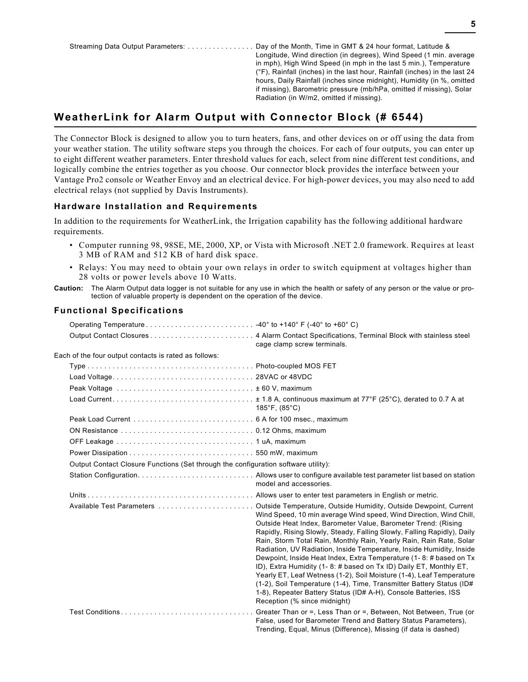Streaming Data Output Parameters: . . . . . . . . . . . . . . . . Day of the Month, Time in GMT & 24 hour format, Latitude & Longitude, Wind direction (in degrees), Wind Speed (1 min. average in mph), High Wind Speed (in mph in the last 5 min.), Temperature (°F), Rainfall (inches) in the last hour, Rainfall (inches) in the last 24 hours, Daily Rainfall (inches since midnight), Humidity (in %, omitted if missing), Barometric pressure (mb/hPa, omitted if missing), Solar Radiation (in W/m2, omitted if missing).

## **WeatherLink for Alarm Output with Connector Block (# 6544)**

The Connector Block is designed to allow you to turn heaters, fans, and other devices on or off using the data from your weather station. The utility software steps you through the choices. For each of four outputs, you can enter up to eight different weather parameters. Enter threshold values for each, select from nine different test conditions, and logically combine the entries together as you choose. Our connector block provides the interface between your Vantage Pro2 console or Weather Envoy and an electrical device. For high-power devices, you may also need to add electrical relays (not supplied by Davis Instruments).

### **Hardware Installation and Requirements**

In addition to the requirements for WeatherLink, the Irrigation capability has the following additional hardware requirements.

- Computer running 98, 98SE, ME, 2000, XP, or Vista with Microsoft .NET 2.0 framework. Requires at least 3 MB of RAM and 512 KB of hard disk space.
- Relays: You may need to obtain your own relays in order to switch equipment at voltages higher than 28 volts or power levels above 10 Watts.
- **Caution:** The Alarm Output data logger is not suitable for any use in which the health or safety of any person or the value or protection of valuable property is dependent on the operation of the device.

|                                                                                    | cage clamp screw terminals.                                                                                                                                                                                                                                                                                                                                                                                                                                                                                                                                                                                                                                                                                                                                 |
|------------------------------------------------------------------------------------|-------------------------------------------------------------------------------------------------------------------------------------------------------------------------------------------------------------------------------------------------------------------------------------------------------------------------------------------------------------------------------------------------------------------------------------------------------------------------------------------------------------------------------------------------------------------------------------------------------------------------------------------------------------------------------------------------------------------------------------------------------------|
| Each of the four output contacts is rated as follows:                              |                                                                                                                                                                                                                                                                                                                                                                                                                                                                                                                                                                                                                                                                                                                                                             |
|                                                                                    |                                                                                                                                                                                                                                                                                                                                                                                                                                                                                                                                                                                                                                                                                                                                                             |
|                                                                                    |                                                                                                                                                                                                                                                                                                                                                                                                                                                                                                                                                                                                                                                                                                                                                             |
|                                                                                    |                                                                                                                                                                                                                                                                                                                                                                                                                                                                                                                                                                                                                                                                                                                                                             |
|                                                                                    | $185^{\circ}$ F, (85 $^{\circ}$ C)                                                                                                                                                                                                                                                                                                                                                                                                                                                                                                                                                                                                                                                                                                                          |
|                                                                                    |                                                                                                                                                                                                                                                                                                                                                                                                                                                                                                                                                                                                                                                                                                                                                             |
|                                                                                    |                                                                                                                                                                                                                                                                                                                                                                                                                                                                                                                                                                                                                                                                                                                                                             |
|                                                                                    |                                                                                                                                                                                                                                                                                                                                                                                                                                                                                                                                                                                                                                                                                                                                                             |
|                                                                                    |                                                                                                                                                                                                                                                                                                                                                                                                                                                                                                                                                                                                                                                                                                                                                             |
| Output Contact Closure Functions (Set through the configuration software utility): |                                                                                                                                                                                                                                                                                                                                                                                                                                                                                                                                                                                                                                                                                                                                                             |
|                                                                                    | model and accessories.                                                                                                                                                                                                                                                                                                                                                                                                                                                                                                                                                                                                                                                                                                                                      |
|                                                                                    |                                                                                                                                                                                                                                                                                                                                                                                                                                                                                                                                                                                                                                                                                                                                                             |
|                                                                                    | Wind Speed, 10 min average Wind speed, Wind Direction, Wind Chill,<br>Outside Heat Index, Barometer Value, Barometer Trend: (Rising<br>Rapidly, Rising Slowly, Steady, Falling Slowly, Falling Rapidly), Daily<br>Rain, Storm Total Rain, Monthly Rain, Yearly Rain, Rain Rate, Solar<br>Radiation, UV Radiation, Inside Temperature, Inside Humidity, Inside<br>Dewpoint, Inside Heat Index, Extra Temperature (1-8: # based on Tx<br>ID), Extra Humidity (1-8: # based on Tx ID) Daily ET, Monthly ET,<br>Yearly ET, Leaf Wetness (1-2), Soil Moisture (1-4), Leaf Temperature<br>(1-2), Soil Temperature (1-4), Time, Transmitter Battery Status (ID#<br>1-8), Repeater Battery Status (ID# A-H), Console Batteries, ISS<br>Reception (% since midnight) |
|                                                                                    | Greater Than or =, Less Than or =, Between, Not Between, True (or<br>False, used for Barometer Trend and Battery Status Parameters),<br>Trending, Equal, Minus (Difference), Missing (if data is dashed)                                                                                                                                                                                                                                                                                                                                                                                                                                                                                                                                                    |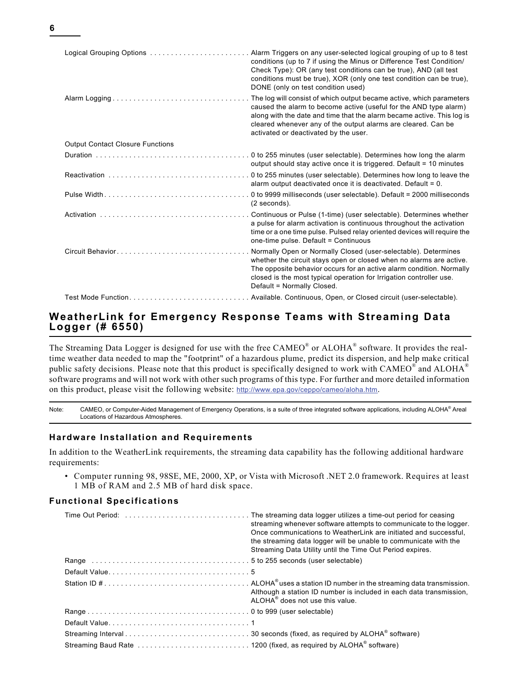| ۰. |  |  |
|----|--|--|
|    |  |  |

| Logical Grouping Options                | Alarm Triggers on any user-selected logical grouping of up to 8 test<br>conditions (up to 7 if using the Minus or Difference Test Condition/<br>Check Type): OR (any test conditions can be true), AND (all test<br>conditions must be true), XOR (only one test condition can be true),<br>DONE (only on test condition used) |
|-----------------------------------------|--------------------------------------------------------------------------------------------------------------------------------------------------------------------------------------------------------------------------------------------------------------------------------------------------------------------------------|
|                                         | The log will consist of which output became active, which parameters<br>caused the alarm to become active (useful for the AND type alarm)<br>along with the date and time that the alarm became active. This log is<br>cleared whenever any of the output alarms are cleared. Can be<br>activated or deactivated by the user.  |
| <b>Output Contact Closure Functions</b> |                                                                                                                                                                                                                                                                                                                                |
|                                         | output should stay active once it is triggered. Default = 10 minutes                                                                                                                                                                                                                                                           |
|                                         | alarm output deactivated once it is deactivated. Default = 0.                                                                                                                                                                                                                                                                  |
| Pulse Width                             | 0 to 9999 milliseconds (user selectable). Default = 2000 milliseconds<br>(2 seconds).                                                                                                                                                                                                                                          |
|                                         | Continuous or Pulse (1-time) (user selectable). Determines whether<br>a pulse for alarm activation is continuous throughout the activation<br>time or a one time pulse. Pulsed relay oriented devices will require the<br>one-time pulse. Default = Continuous                                                                 |
|                                         | Normally Open or Normally Closed (user-selectable). Determines<br>whether the circuit stays open or closed when no alarms are active.<br>The opposite behavior occurs for an active alarm condition. Normally<br>closed is the most typical operation for Irrigation controller use.<br>Default = Normally Closed.             |
|                                         | Available. Continuous, Open, or Closed circuit (user-selectable).                                                                                                                                                                                                                                                              |

### **WeatherLink for Emergency Response Teams with Streaming Data Logger (# 6550)**

The Streaming Data Logger is designed for use with the free  $CAMEO^{\circ}$  or  $ALOHA^{\circ}$  software. It provides the realtime weather data needed to map the "footprint" of a hazardous plume, predict its dispersion, and help make critical public safety decisions. Please note that this product is specifically designed to work with CAMEO<sup>®</sup> and ALOHA<sup>®</sup> software programs and will not work with other such programs of this type. For further and more detailed information on this product, please visit the following website: http://www.epa.gov/ceppo/cameo/aloha.htm.

Note: CAMEO, or Computer-Aided Management of Emergency Operations, is a suite of three integrated software applications, including ALOHA® Areal Locations of Hazardous Atmospheres.

### **Hardware Installation and Requirements**

In addition to the WeatherLink requirements, the streaming data capability has the following additional hardware requirements:

• Computer running 98, 98SE, ME, 2000, XP, or Vista with Microsoft .NET 2.0 framework. Requires at least 1 MB of RAM and 2.5 MB of hard disk space.

| streaming whenever software attempts to communicate to the logger.<br>Once communications to WeatherLink are initiated and successful.<br>the streaming data logger will be unable to communicate with the<br>Streaming Data Utility until the Time Out Period expires. |
|-------------------------------------------------------------------------------------------------------------------------------------------------------------------------------------------------------------------------------------------------------------------------|
|                                                                                                                                                                                                                                                                         |
|                                                                                                                                                                                                                                                                         |
| Although a station ID number is included in each data transmission.<br>ALOHA <sup>®</sup> does not use this value.                                                                                                                                                      |
|                                                                                                                                                                                                                                                                         |
|                                                                                                                                                                                                                                                                         |
|                                                                                                                                                                                                                                                                         |
|                                                                                                                                                                                                                                                                         |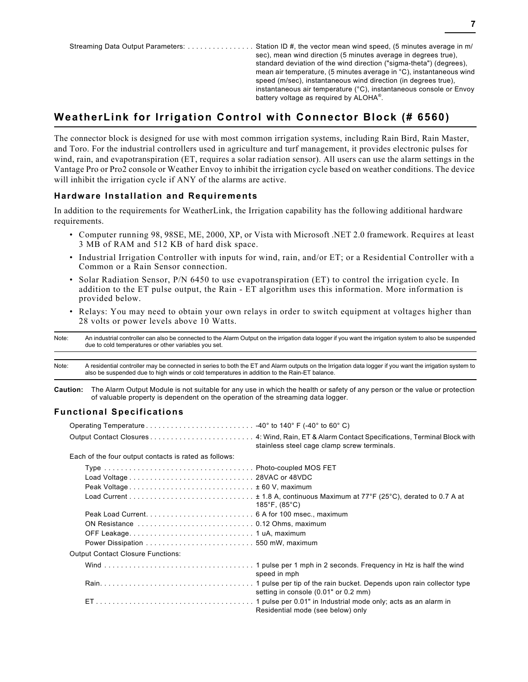# **WeatherLink for Irrigation Control with Connector Block (# 6560)**

The connector block is designed for use with most common irrigation systems, including Rain Bird, Rain Master, and Toro. For the industrial controllers used in agriculture and turf management, it provides electronic pulses for wind, rain, and evapotranspiration (ET, requires a solar radiation sensor). All users can use the alarm settings in the Vantage Pro or Pro2 console or Weather Envoy to inhibit the irrigation cycle based on weather conditions. The device will inhibit the irrigation cycle if ANY of the alarms are active.

### **Hardware Installation and Requirements**

In addition to the requirements for WeatherLink, the Irrigation capability has the following additional hardware requirements.

- Computer running 98, 98SE, ME, 2000, XP, or Vista with Microsoft .NET 2.0 framework. Requires at least 3 MB of RAM and 512 KB of hard disk space.
- Industrial Irrigation Controller with inputs for wind, rain, and/or ET; or a Residential Controller with a Common or a Rain Sensor connection.
- Solar Radiation Sensor, P/N 6450 to use evapotranspiration (ET) to control the irrigation cycle. In addition to the ET pulse output, the Rain - ET algorithm uses this information. More information is provided below.
- Relays: You may need to obtain your own relays in order to switch equipment at voltages higher than 28 volts or power levels above 10 Watts.

Note: An industrial controller can also be connected to the Alarm Output on the irrigation data logger if you want the irrigation system to also be suspended due to cold temperatures or other variables you set.

Note: A residential controller may be connected in series to both the ET and Alarm outputs on the Irrigation data logger if you want the irrigation system to also be suspended due to high winds or cold temperatures in addition to the Rain-ET balance.

**Caution:** The Alarm Output Module is not suitable for any use in which the health or safety of any person or the value or protection of valuable property is dependent on the operation of the streaming data logger.

|                                                       | stainless steel cage clamp screw terminals. |
|-------------------------------------------------------|---------------------------------------------|
| Each of the four output contacts is rated as follows: |                                             |
|                                                       |                                             |
|                                                       |                                             |
|                                                       |                                             |
|                                                       | 185°F, $(85^{\circ}C)$                      |
|                                                       |                                             |
|                                                       |                                             |
|                                                       |                                             |
|                                                       |                                             |
| <b>Output Contact Closure Functions:</b>              |                                             |
|                                                       | speed in mph                                |
|                                                       | setting in console (0.01" or 0.2 mm)        |
|                                                       | Residential mode (see below) only           |